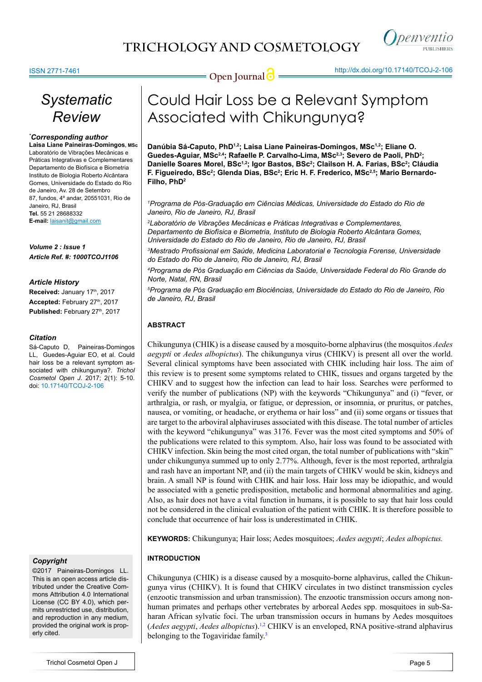

**Open Journal @** http://dx.doi.org/[10.17140/TCOJ-2-106](http://dx.doi.org/10.17140/TCOJ-2-106)

# *Systematic Review*

#### *\* Corresponding author* **Laisa Liane Paineiras-Domingos, MSc**

Laboratório de Vibrações Mecânicas e Práticas Integrativas e Complementares Departamento de Biofísica e Biometria Instituto de Biologia Roberto Alcântara Gomes, Universidade do Estado do Rio de Janeiro, Av. 28 de Setembro 87, fundos, 4º andar, 20551031, Rio de Janeiro, RJ, Brasil **Tel.** 55 21 28688332 **E-mail:** laisanit@gmail.com

*Volume 2 : Issue 1 Article Ref. #: 1000TCOJ1106*

#### *Article History*

Received: January 17th, 2017 Accepted: February 27<sup>th</sup>, 2017 Published: February 27<sup>th</sup>, 2017

#### *Citation*

Sá-Caputo D, Paineiras-Domingos LL, Guedes-Aguiar EO, et al. Could hair loss be a relevant symptom associated with chikungunya?. *Trichol Cosmetol Open J*. 2017; 2(1): 5-10. doi: [10.17140/TCOJ-2-106](http://dx.doi.org/10.17140/TCOJ-2-106)

# *Copyright*

©2017 Paineiras-Domingos LL. This is an open access article distributed under the Creative Commons Attribution 4.0 International License (CC BY 4.0), which permits unrestricted use, distribution, and reproduction in any medium, provided the original work is properly cited.

# Could Hair Loss be a Relevant Symptom Associated with Chikungunya?

Danúbia Sá-Caputo, PhD<sup>1,2</sup>; Laisa Liane Paineiras-Domingos, MSc<sup>1,2</sup>; Eliane O. Guedes-Aguiar, MSc<sup>2,4</sup>; Rafaelle P. Carvalho-Lima, MSc<sup>2,3</sup>; Severo de Paoli, PhD<sup>2</sup>; Danielle Soares Morel, BSc<sup>1,2</sup>; Igor Bastos, BSc<sup>2</sup>; Clailson H. A. Farias, BSc<sup>2</sup>; Cláudia F. Figueiredo, BSc<sup>2</sup>; Glenda Dias, BSc<sup>2</sup>; Eric H. F. Frederico, MSc<sup>2,5</sup>; Mario Bernardo-**Filho, PhD2**

*1 Programa de Pós-Graduação em Ciências Médicas, Universidade do Estado do Rio de Janeiro, Rio de Janeiro, RJ, Brasil*

*2 Laboratório de Vibrações Mecânicas e Práticas Integrativas e Complementares, Departamento de Biofísica e Biometria, Instituto de Biologia Roberto Alcântara Gomes, Universidade do Estado do Rio de Janeiro, Rio de Janeiro, RJ, Brasil*

*3 Mestrado Profissional em Saúde, Medicina Laboratorial e Tecnologia Forense, Universidade do Estado do Rio de Janeiro, Rio de Janeiro, RJ, Brasil*

*4 Programa de Pós Graduação em Ciências da Saúde, Universidade Federal do Rio Grande do Norte, Natal, RN, Brasil*

*5 Programa de Pós Graduação em Biociências, Universidade do Estado do Rio de Janeiro, Rio de Janeiro, RJ, Brasil*

# **ABSTRACT**

Chikungunya (CHIK) is a disease caused by a mosquito-borne alphavirus (the mosquitos *Aedes aegypti* or *Aedes albopictus*). The chikungunya virus (CHIKV) is present all over the world. Several clinical symptoms have been associated with CHIK including hair loss. The aim of this review is to present some symptoms related to CHIK, tissues and organs targeted by the CHIKV and to suggest how the infection can lead to hair loss. Searches were performed to verify the number of publications (NP) with the keywords "Chikungunya" and (i) "fever, or arthralgia, or rash, or myalgia, or fatigue, or depression, or insomnia, or pruritus, or patches, nausea, or vomiting, or headache, or erythema or hair loss" and (ii) some organs or tissues that are target to the arboviral alphaviruses associated with this disease. The total number of articles with the keyword "chikungunya" was 3176. Fever was the most cited symptoms and 50% of the publications were related to this symptom. Also, hair loss was found to be associated with CHIKV infection. Skin being the most cited organ, the total number of publications with "skin" under chikungunya summed up to only 2.77%. Although, fever is the most reported, arthralgia and rash have an important NP, and (ii) the main targets of CHIKV would be skin, kidneys and brain. A small NP is found with CHIK and hair loss. Hair loss may be idiopathic, and would be associated with a genetic predisposition, metabolic and hormonal abnormalities and aging. Also, as hair does not have a vital function in humans, it is possible to say that hair loss could not be considered in the clinical evaluation of the patient with CHIK. It is therefore possible to conclude that occurrence of hair loss is underestimated in CHIK.

**KEYWORDS:** Chikungunya; Hair loss; Aedes mosquitoes; *Aedes aegypti*; *Aedes albopictus.*

# **INTRODUCTION**

Chikungunya (CHIK) is a disease caused by a mosquito-borne alphavirus, called the Chikungunya virus (CHIKV). It is found that CHIKV circulates in two distinct transmission cycles (enzootic transmission and urban transmission). The enzootic transmission occurs among nonhuman primates and perhaps other vertebrates by arboreal Aedes spp. mosquitoes in sub-Saharan African sylvatic foci. The urban transmission occurs in humans by Aedes mosquitoes (*Aedes aegypti*, *Aedes albopictus*).[1,2](#page-4-0) CHIKV is an enveloped, RNA positive-strand alphavirus belonging to the Togaviridae family.<sup>[3](#page-4-1)</sup>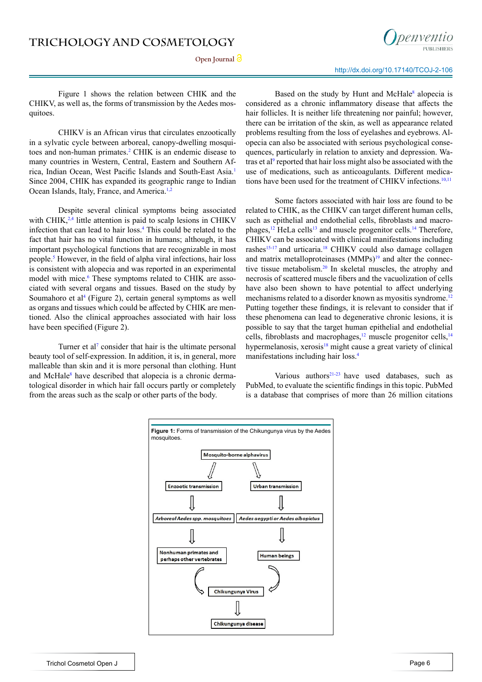Open Journal<sup>1</sup>



http://dx.doi.org/[10.17140/TCOJ-2-106](http://dx.doi.org/10.17140/TCOJ-2-106)

Figure 1 shows the relation between CHIK and the CHIKV, as well as, the forms of transmission by the Aedes mosquitoes.

CHIKV is an African virus that circulates enzootically in a sylvatic cycle between arboreal, canopy-dwelling mosqui-toes and non-human primates.<sup>[2](#page-4-2)</sup> CHIK is an endemic disease to many countries in Western, Central, Eastern and Southern Africa, Indian Ocean, West Pacific Islands and South-East Asia.[1](#page-4-0) Since 2004, CHIK has expanded its geographic range to Indian Ocean Islands, Italy, France, and America.<sup>[1,2](#page-4-0)</sup>

Despite several clinical symptoms being associated with CHIK, $^{2,4}$  $^{2,4}$  $^{2,4}$  little attention is paid to scalp lesions in CHIKV infection that can lead to hair loss[.4](#page-4-3) This could be related to the fact that hair has no vital function in humans; although, it has important psychological functions that are recognizable in most people.<sup>5</sup> However, in the field of alpha viral infections, hair loss is consistent with alopecia and was reported in an experimental model with mice.<sup>[6](#page-4-5)</sup> These symptoms related to CHIK are associated with several organs and tissues. Based on the study by Soumahoro et al<sup>[4](#page-4-3)</sup> (Figure 2), certain general symptoms as well as organs and tissues which could be affected by CHIK are mentioned. Also the clinical approaches associated with hair loss have been specified (Figure 2).

Turner et al<sup> $7$ </sup> consider that hair is the ultimate personal beauty tool of self-expression. In addition, it is, in general, more malleable than skin and it is more personal than clothing. Hunt and McHale<sup>8</sup> have described that alopecia is a chronic dermatological disorder in which hair fall occurs partly or completely from the areas such as the scalp or other parts of the body.

Based on the study by Hunt and McHale<sup>8</sup> alopecia is considered as a chronic inflammatory disease that affects the hair follicles. It is neither life threatening nor painful; however, there can be irritation of the skin, as well as appearance related problems resulting from the loss of eyelashes and eyebrows. Alopecia can also be associated with serious psychological consequences, particularly in relation to anxiety and depression. Wa-tras et al<sup>[9](#page-5-2)</sup> reported that hair loss might also be associated with the use of medications, such as anticoagulants. Different medications have been used for the treatment of CHIKV infections.<sup>10,11</sup>

Some factors associated with hair loss are found to be related to CHIK, as the CHIKV can target different human cells, such as epithelial and endothelial cells, fibroblasts and macrophages,<sup>12</sup> HeLa cells<sup>13</sup> and muscle progenitor cells.<sup>14</sup> Therefore, CHIKV can be associated with clinical manifestations including rashes<sup>[15-17](#page-5-7)</sup> and urticaria.<sup>18</sup> CHIKV could also damage collagen and matrix metalloproteinases  $(MMPs)^{19}$  and alter the connec-tive tissue metabolism.<sup>[20](#page-5-10)</sup> In skeletal muscles, the atrophy and necrosis of scattered muscle fibers and the vacuolization of cells have also been shown to have potential to affect underlying mechanisms related to a disorder known as myositis syndrome.<sup>12</sup> Putting together these findings, it is relevant to consider that if these phenomena can lead to degenerative chronic lesions, it is possible to say that the target human epithelial and endothelial cells, fibroblasts and macrophages,<sup>[12](#page-5-4)</sup> muscle progenitor cells,<sup>14</sup> hypermelanosis, xerosis<sup>18</sup> might cause a great variety of clinical manifestations including hair loss.[4](#page-4-3)

Various authors $21-23$  have used databases, such as PubMed, to evaluate the scientific findings in this topic. PubMed is a database that comprises of more than 26 million citations

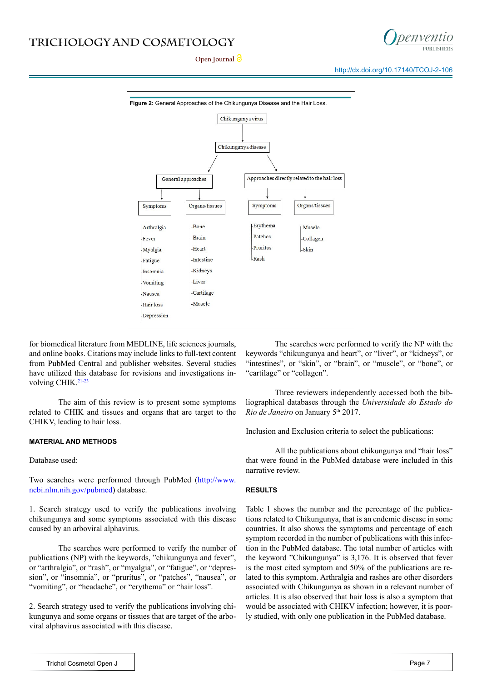# **TRICHOLOGY AND COSMETOLOGY**



Open Journal<sup>2</sup>

http://dx.doi.org/[10.17140/TCOJ-2-106](http://dx.doi.org/10.17140/TCOJ-2-106)



for biomedical literature from MEDLINE, life sciences journals, and online books. Citations may include links to full-text content from PubMed Central and publisher websites. Several studies have utilized this database for revisions and investigations in-volving CHIK.<sup>[21-23](#page-5-11)</sup>

The aim of this review is to present some symptoms related to CHIK and tissues and organs that are target to the CHIKV, leading to hair loss.

#### **MATERIAL AND METHODS**

Database used:

Two searches were performed through PubMed [\(http://www.](http://www.ncbi.nlm.nih.gov/pubmed) [ncbi.nlm.nih.gov/pubmed](http://www.ncbi.nlm.nih.gov/pubmed)) database.

1. Search strategy used to verify the publications involving chikungunya and some symptoms associated with this disease caused by an arboviral alphavirus.

The searches were performed to verify the number of publications (NP) with the keywords, "chikungunya and fever", or "arthralgia", or "rash", or "myalgia", or "fatigue", or "depression", or "insomnia", or "pruritus", or "patches", "nausea", or "vomiting", or "headache", or "erythema" or "hair loss".

2. Search strategy used to verify the publications involving chikungunya and some organs or tissues that are target of the arboviral alphavirus associated with this disease.

The searches were performed to verify the NP with the keywords "chikungunya and heart", or "liver", or "kidneys", or "intestines", or "skin", or "brain", or "muscle", or "bone", or "cartilage" or "collagen".

Three reviewers independently accessed both the bibliographical databases through the *Universidade do Estado do Rio de Janeiro* on January 5th 2017.

Inclusion and Exclusion criteria to select the publications:

All the publications about chikungunya and "hair loss" that were found in the PubMed database were included in this narrative review.

#### **RESULTS**

Table 1 shows the number and the percentage of the publications related to Chikungunya, that is an endemic disease in some countries. It also shows the symptoms and percentage of each symptom recorded in the number of publications with this infection in the PubMed database. The total number of articles with the keyword "Chikungunya" is 3,176. It is observed that fever is the most cited symptom and 50% of the publications are related to this symptom. Arthralgia and rashes are other disorders associated with Chikungunya as shown in a relevant number of articles. It is also observed that hair loss is also a symptom that would be associated with CHIKV infection; however, it is poorly studied, with only one publication in the PubMed database.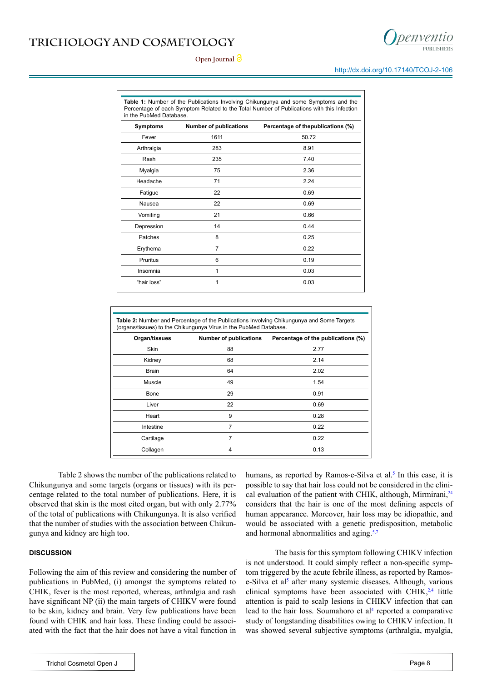# **TRICHOLOGY AND COSMETOLOGY**





http://dx.doi.org/[10.17140/TCOJ-2-106](http://dx.doi.org/10.17140/TCOJ-2-106)

**Table 1:** Number of the Publications Involving Chikungunya and some Symptoms and the Percentage of each Symptom Related to the Total Number of Publications with this Infection in the PubMed Database.

| <b>Symptoms</b> | <b>Number of publications</b> | Percentage of thepublications (%) |
|-----------------|-------------------------------|-----------------------------------|
| Fever           | 1611                          | 50.72                             |
| Arthralgia      | 283                           | 8.91                              |
| Rash            | 235                           | 7.40                              |
| Myalgia         | 75                            | 2.36                              |
| Headache        | 71                            | 2.24                              |
| Fatigue         | 22                            | 0.69                              |
| Nausea          | 22                            | 0.69                              |
| Vomiting        | 21                            | 0.66                              |
| Depression      | 14                            | 0.44                              |
| Patches         | 8                             | 0.25                              |
| Erythema        | $\overline{7}$                | 0.22                              |
| Pruritus        | 6                             | 0.19                              |
| Insomnia        | 1                             | 0.03                              |
| "hair loss"     | 1                             | 0.03                              |

| <b>Table 2:</b> Number and Percentage of the Publications Involving Chikungunya and Some Targets<br>(organs/tissues) to the Chikungunya Virus in the PubMed Database. |                               |                                    |  |
|-----------------------------------------------------------------------------------------------------------------------------------------------------------------------|-------------------------------|------------------------------------|--|
| Organ/tissues                                                                                                                                                         | <b>Number of publications</b> | Percentage of the publications (%) |  |
| Skin                                                                                                                                                                  | 88                            | 2.77                               |  |
| Kidney                                                                                                                                                                | 68                            | 2.14                               |  |
| <b>Brain</b>                                                                                                                                                          | 64                            | 2.02                               |  |
| Muscle                                                                                                                                                                | 49                            | 1.54                               |  |
| Bone                                                                                                                                                                  | 29                            | 0.91                               |  |
| Liver                                                                                                                                                                 | 22                            | 0.69                               |  |
| Heart                                                                                                                                                                 | 9                             | 0.28                               |  |
| Intestine                                                                                                                                                             | $\overline{7}$                | 0.22                               |  |
| Cartilage                                                                                                                                                             | 7                             | 0.22                               |  |
| Collagen                                                                                                                                                              | 4                             | 0.13                               |  |

Table 2 shows the number of the publications related to Chikungunya and some targets (organs or tissues) with its percentage related to the total number of publications. Here, it is observed that skin is the most cited organ, but with only 2.77% of the total of publications with Chikungunya. It is also verified that the number of studies with the association between Chikungunya and kidney are high too.

# **DISCUSSION**

Following the aim of this review and considering the number of publications in PubMed, (i) amongst the symptoms related to CHIK, fever is the most reported, whereas, arthralgia and rash have significant NP (ii) the main targets of CHIKV were found to be skin, kidney and brain. Very few publications have been found with CHIK and hair loss. These finding could be associated with the fact that the hair does not have a vital function in

humans, as reported by Ramos-e-Silva et al.<sup>5</sup> In this case, it is possible to say that hair loss could not be considered in the clinical evaluation of the patient with CHIK, although, Mirmirani, $^{24}$ considers that the hair is one of the most defining aspects of human appearance. Moreover, hair loss may be idiopathic, and would be associated with a genetic predisposition, metabolic and hormonal abnormalities and aging[.5,7](#page-4-4)

The basis for this symptom following CHIKV infection is not understood. It could simply reflect a non-specific symptom triggered by the acute febrile illness, as reported by Ramos-e-Silva et al<sup>[5](#page-4-4)</sup> after many systemic diseases. Although, various clinical symptoms have been associated with CHIK, $2,4$  little attention is paid to scalp lesions in CHIKV infection that can lead to the hair loss. Soumahoro et  $a<sup>14</sup>$  $a<sup>14</sup>$  $a<sup>14</sup>$  reported a comparative study of longstanding disabilities owing to CHIKV infection. It was showed several subjective symptoms (arthralgia, myalgia,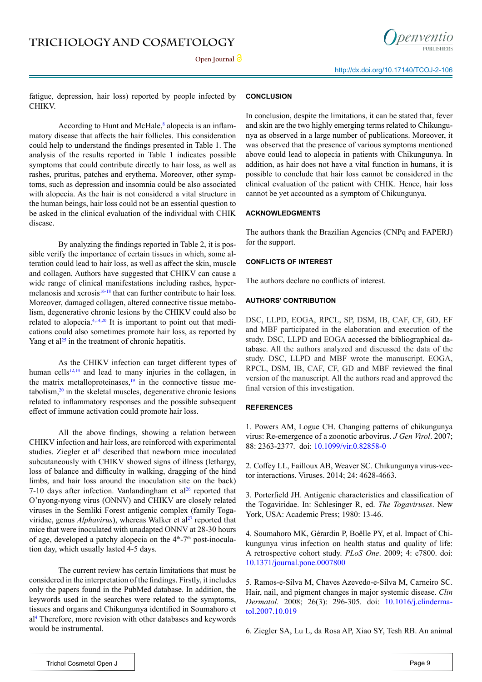

Open **Journal** *O* 

fatigue, depression, hair loss) reported by people infected by CHIKV.

According to Hunt and McHale, $\delta$  alopecia is an inflammatory disease that affects the hair follicles. This consideration could help to understand the findings presented in Table 1. The analysis of the results reported in Table 1 indicates possible symptoms that could contribute directly to hair loss, as well as rashes, pruritus, patches and erythema. Moreover, other symptoms, such as depression and insomnia could be also associated with alopecia. As the hair is not considered a vital structure in the human beings, hair loss could not be an essential question to be asked in the clinical evaluation of the individual with CHIK disease.

By analyzing the findings reported in Table 2, it is possible verify the importance of certain tissues in which, some alteration could lead to hair loss, as well as affect the skin, muscle and collagen. Authors have suggested that CHIKV can cause a wide range of clinical manifestations including rashes, hypermelanosis and xerosis<sup>16-18</sup> that can further contribute to hair loss. Moreover, damaged collagen, altered connective tissue metabolism, degenerative chronic lesions by the CHIKV could also be related to alopecia[.4,14,20](#page-4-3) It is important to point out that medications could also sometimes promote hair loss, as reported by Yang et al<sup>25</sup> in the treatment of chronic hepatitis.

As the CHIKV infection can target different types of human cells<sup>12,14</sup> and lead to many injuries in the collagen, in the matrix metalloproteinases, $\frac{19}{12}$  in the connective tissue metabolism, $20$  in the skeletal muscles, degenerative chronic lesions related to inflammatory responses and the possible subsequent effect of immune activation could promote hair loss.

All the above findings, showing a relation between CHIKV infection and hair loss, are reinforced with experimental studies. Ziegler et al<sup>[6](#page-4-5)</sup> described that newborn mice inoculated subcutaneously with CHIKV showed signs of illness (lethargy, loss of balance and difficulty in walking, dragging of the hind limbs, and hair loss around the inoculation site on the back) 7-10 days after infection. Vanlandingham et  $al<sup>26</sup>$  $al<sup>26</sup>$  $al<sup>26</sup>$  reported that O'nyong-nyong virus (ONNV) and CHIKV are closely related viruses in the Semliki Forest antigenic complex (family Togaviridae, genus *Alphavirus*), whereas Walker et al<sup>27</sup> reported that mice that were inoculated with unadapted ONNV at 28-30 hours of age, developed a patchy alopecia on the 4<sup>th</sup>-7<sup>th</sup> post-inoculation day, which usually lasted 4-5 days.

The current review has certain limitations that must be considered in the interpretation of the findings. Firstly, it includes only the papers found in the PubMed database. In addition, the keywords used in the searches were related to the symptoms, tissues and organs and Chikungunya identified in Soumahoro et a[l4](#page-4-3) Therefore, more revision with other databases and keywords would be instrumental.

# **CONCLUSION**

In conclusion, despite the limitations, it can be stated that, fever and skin are the two highly emerging terms related to Chikungunya as observed in a large number of publications. Moreover, it was observed that the presence of various symptoms mentioned above could lead to alopecia in patients with Chikungunya. In addition, as hair does not have a vital function in humans, it is possible to conclude that hair loss cannot be considered in the clinical evaluation of the patient with CHIK. Hence, hair loss cannot be yet accounted as a symptom of Chikungunya.

# **ACKNOWLEDGMENTS**

The authors thank the Brazilian Agencies (CNPq and FAPERJ) for the support.

### **CONFLICTS OF INTEREST**

The authors declare no conflicts of interest.

### **AUTHORS' CONTRIBUTION**

DSC, LLPD, EOGA, RPCL, SP, DSM, IB, CAF, CF, GD, EF and MBF participated in the elaboration and execution of the study. DSC, LLPD and EOGA accessed the bibliographical database. All the authors analyzed and discussed the data of the study. DSC, LLPD and MBF wrote the manuscript. EOGA, RPCL, DSM, IB, CAF, CF, GD and MBF reviewed the final version of the manuscript. All the authors read and approved the final version of this investigation.

# **REFERENCES**

<span id="page-4-0"></span>1. Powers AM, Logue CH. Changing patterns of chikungunya virus: Re-emergence of a zoonotic arbovirus. *J Gen Virol*. 2007; 88: 2363-2377. doi: [10.1099/vir.0.82858-0](http://jgv.microbiologyresearch.org/content/journal/jgv/10.1099/vir.0.82858-0)

<span id="page-4-2"></span>2. Coffey LL, Failloux AB, Weaver SC. Chikungunya virus-vector interactions. Viruses. 2014; 24: 4628-4663.

<span id="page-4-1"></span>3. Porterfield JH. Antigenic characteristics and classification of the Togaviridae. In: Schlesinger R, ed. *The Togaviruses*. New York, USA: Academic Press; 1980: 13-46.

<span id="page-4-3"></span>4. Soumahoro MK, Gérardin P, Boëlle PY, et al. Impact of Chikungunya virus infection on health status and quality of life: A retrospective cohort study. *PLoS One*. 2009; 4: e7800. doi: [10.1371/journal.pone.0007800](http://journals.plos.org/plosone/article%3Fid%3D10.1371/journal.pone.0007800) 

<span id="page-4-4"></span>5. Ramos-e-Silva M, Chaves Azevedo-e-Silva M, Carneiro SC. Hair, nail, and pigment changes in major systemic disease. *Clin Dermatol.* 2008; 26(3): 296-305. doi: [10.1016/j.clinderma](http://www.sciencedirect.com/science/article/pii/S0738081X07002428)[tol.2007.10.019](http://www.sciencedirect.com/science/article/pii/S0738081X07002428)

<span id="page-4-5"></span>6. Ziegler SA, Lu L, da Rosa AP, Xiao SY, Tesh RB. An animal